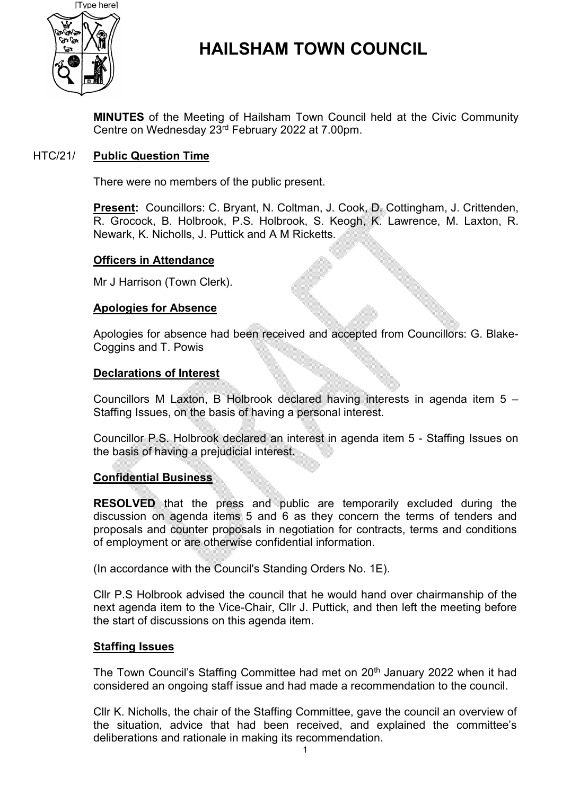

# **HAILSHAM TOWN COUNCIL**

**MINUTES** of the Meeting of Hailsham Town Council held at the Civic Community Centre on Wednesday 23rd February 2022 at 7.00pm.

#### HTC/21/ **Public Question Time**

There were no members of the public present.

**Present:** Councillors: C. Bryant, N. Coltman, J. Cook, D. Cottingham, J. Crittenden, R. Grocock, B. Holbrook, P.S. Holbrook, S. Keogh, K. Lawrence, M. Laxton, R. Newark, K. Nicholls, J. Puttick and A M Ricketts.

### **Officers in Attendance**

Mr J Harrison (Town Clerk).

#### **Apologies for Absence**

Apologies for absence had been received and accepted from Councillors: G. Blake-Coggins and T. Powis

#### **Declarations of Interest**

Councillors M Laxton, B Holbrook declared having interests in agenda item 5 – Staffing Issues, on the basis of having a personal interest.

Councillor P.S. Holbrook declared an interest in agenda item 5 - Staffing Issues on the basis of having a prejudicial interest.

### **Confidential Business**

**RESOLVED** that the press and public are temporarily excluded during the discussion on agenda items 5 and 6 as they concern the terms of tenders and proposals and counter proposals in negotiation for contracts, terms and conditions of employment or are otherwise confidential information.

(In accordance with the Council's Standing Orders No. 1E).

Cllr P.S Holbrook advised the council that he would hand over chairmanship of the next agenda item to the Vice-Chair, Cllr J. Puttick, and then left the meeting before the start of discussions on this agenda item.

#### **Staffing Issues**

The Town Council's Staffing Committee had met on 20<sup>th</sup> January 2022 when it had considered an ongoing staff issue and had made a recommendation to the council.

Cllr K. Nicholls, the chair of the Staffing Committee, gave the council an overview of the situation, advice that had been received, and explained the committee's deliberations and rationale in making its recommendation.